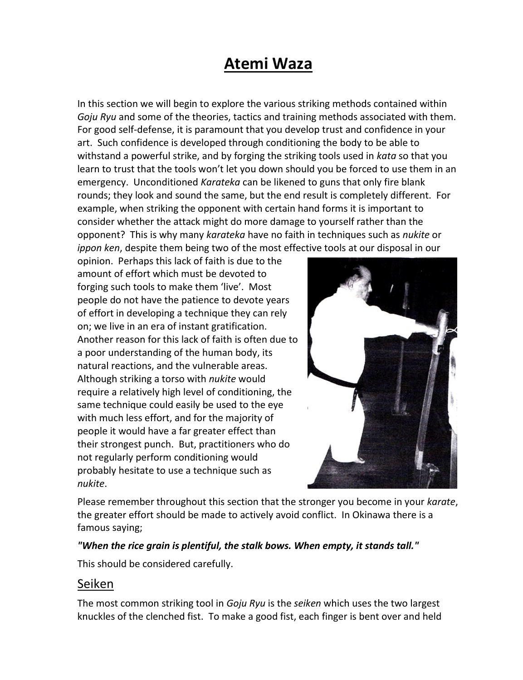## **Atemi Waza**

In this section we will begin to explore the various striking methods contained within *Goju Ryu* and some of the theories, tactics and training methods associated with them. For good self-defense, it is paramount that you develop trust and confidence in your art. Such confidence is developed through conditioning the body to be able to withstand a powerful strike, and by forging the striking tools used in *kata* so that you learn to trust that the tools won't let you down should you be forced to use them in an emergency. Unconditioned *Karateka* can be likened to guns that only fire blank rounds; they look and sound the same, but the end result is completely different. For example, when striking the opponent with certain hand forms it is important to consider whether the attack might do more damage to yourself rather than the opponent? This is why many *karateka* have no faith in techniques such as *nukite* or *ippon ken*, despite them being two of the most effective tools at our disposal in our

opinion. Perhaps this lack of faith is due to the amount of effort which must be devoted to forging such tools to make them 'live'. Most people do not have the patience to devote years of effort in developing a technique they can rely on; we live in an era of instant gratification. Another reason for this lack of faith is often due to a poor understanding of the human body, its natural reactions, and the vulnerable areas. Although striking a torso with *nukite* would require a relatively high level of conditioning, the same technique could easily be used to the eye with much less effort, and for the majority of people it would have a far greater effect than their strongest punch. But, practitioners who do not regularly perform conditioning would probably hesitate to use a technique such as *nukite*.



Please remember throughout this section that the stronger you become in your *karate*, the greater effort should be made to actively avoid conflict. In Okinawa there is a famous saying;

## *"When the rice grain is plentiful, the stalk bows. When empty, it stands tall."*

This should be considered carefully.

## Seiken

The most common striking tool in *Goju Ryu* is the *seiken* which uses the two largest knuckles of the clenched fist. To make a good fist, each finger is bent over and held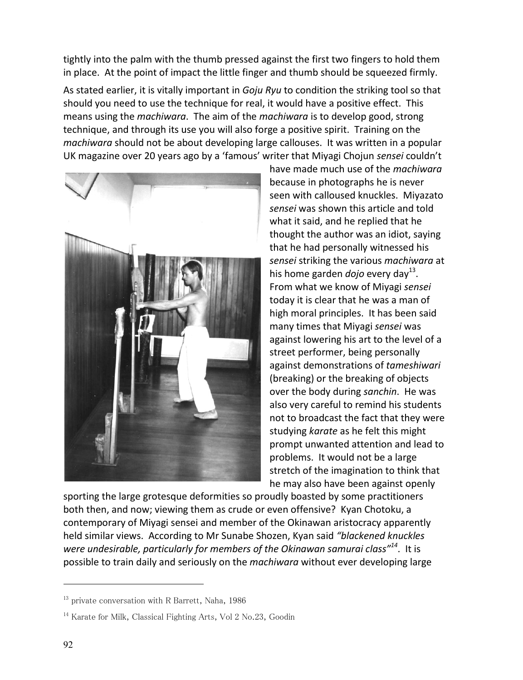tightly into the palm with the thumb pressed against the first two fingers to hold them in place. At the point of impact the little finger and thumb should be squeezed firmly.

As stated earlier, it is vitally important in *Goju Ryu* to condition the striking tool so that should you need to use the technique for real, it would have a positive effect. This means using the *machiwara*. The aim of the *machiwara* is to develop good, strong technique, and through its use you will also forge a positive spirit. Training on the *machiwara* should not be about developing large callouses. It was written in a popular UK magazine over 20 years ago by a 'famous' writer that Miyagi Chojun *sensei* couldn't



have made much use of the *machiwara* because in photographs he is never seen with calloused knuckles. Miyazato *sensei* was shown this article and told what it said, and he replied that he thought the author was an idiot, saying that he had personally witnessed his *sensei* striking the various *machiwara* at his home garden *dojo* every day<sup>13</sup>. From what we know of Miyagi *sensei* today it is clear that he was a man of high moral principles. It has been said many times that Miyagi *sensei* was against lowering his art to the level of a street performer, being personally against demonstrations of *tameshiwari* (breaking) or the breaking of objects over the body during *sanchin*. He was also very careful to remind his students not to broadcast the fact that they were studying *karate* as he felt this might prompt unwanted attention and lead to problems. It would not be a large stretch of the imagination to think that he may also have been against openly

sporting the large grotesque deformities so proudly boasted by some practitioners both then, and now; viewing them as crude or even offensive? Kyan Chotoku, a contemporary of Miyagi sensei and member of the Okinawan aristocracy apparently held similar views. According to Mr Sunabe Shozen, Kyan said *"blackened knuckles were undesirable, particularly for members of the Okinawan samurai class"<sup>14</sup>* .It is possible to train daily and seriously on the *machiwara* without ever developing large

 $\overline{a}$ 

<sup>&</sup>lt;sup>13</sup> private conversation with R Barrett, Naha, 1986

<sup>&</sup>lt;sup>14</sup> Karate for Milk, Classical Fighting Arts, Vol 2 No.23, Goodin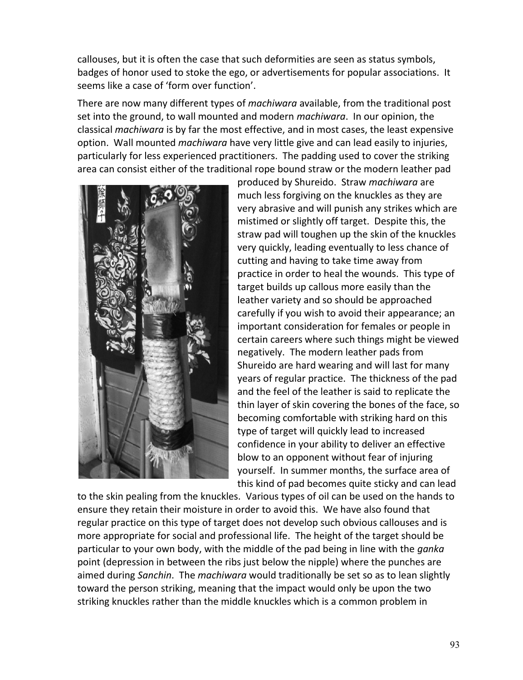callouses, but it is often the case that such deformities are seen as status symbols, badges of honor used to stoke the ego, or advertisements for popular associations. It seems like a case of 'form over function'.

There are now many different types of *machiwara* available, from the traditional post set into the ground, to wall mounted and modern *machiwara*. In our opinion, the classical *machiwara* is by far the most effective, and in most cases, the least expensive option. Wall mounted *machiwara* have very little give and can lead easily to injuries, particularly for less experienced practitioners. The padding used to cover the striking area can consist either of the traditional rope bound straw or the modern leather pad



produced by Shureido. Straw *machiwara* are much less forgiving on the knuckles as they are very abrasive and will punish any strikes which are mistimed or slightly off target. Despite this, the straw pad will toughen up the skin of the knuckles very quickly, leading eventually to less chance of cutting and having to take time away from practice in order to heal the wounds. This type of target builds up callous more easily than the leather variety and so should be approached carefully if you wish to avoid their appearance; an important consideration for females or people in certain careers where such things might be viewed negatively. The modern leather pads from Shureido are hard wearing and will last for many years of regular practice. The thickness of the pad and the feel of the leather is said to replicate the thin layer of skin covering the bones of the face, so becoming comfortable with striking hard on this type of target will quickly lead to increased confidence in your ability to deliver an effective blow to an opponent without fear of injuring yourself. In summer months, the surface area of this kind of pad becomes quite sticky and can lead

to the skin pealing from the knuckles. Various types of oil can be used on the hands to ensure they retain their moisture in order to avoid this. We have also found that regular practice on this type of target does not develop such obvious callouses and is more appropriate for social and professional life. The height of the target should be particular to your own body, with the middle of the pad being in line with the *ganka* point (depression in between the ribs just below the nipple) where the punches are aimed during *Sanchin*. The *machiwara* would traditionally be set so as to lean slightly toward the person striking, meaning that the impact would only be upon the two striking knuckles rather than the middle knuckles which is a common problem in